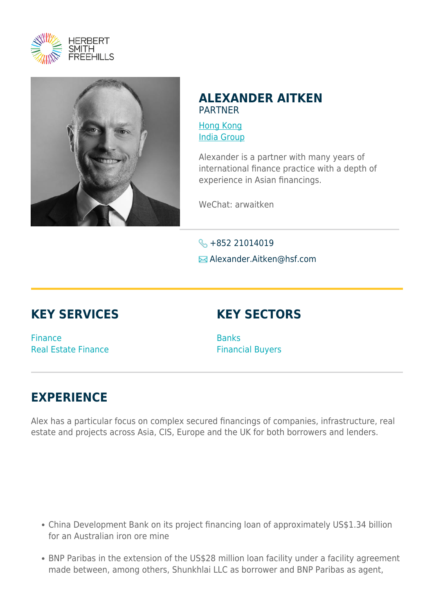



## **ALEXANDER AITKEN** PARTNER

[Hong Kong](https://www.herbertsmithfreehills.com/where-we-work/hong-kong) [India Group](https://www.herbertsmithfreehills.com/where-we-work/india-group)

Alexander is a partner with many years of international finance practice with a depth of experience in Asian financings.

WeChat: arwaitken

 $\leftarrow$  +852 21014019 **E** Alexander.Aitken@hsf.com

## **KEY SERVICES**

## **KEY SECTORS**

Finance Real Estate Finance **Banks** Financial Buyers

## **EXPERIENCE**

Alex has a particular focus on complex secured financings of companies, infrastructure, real estate and projects across Asia, CIS, Europe and the UK for both borrowers and lenders.

- China Development Bank on its project financing loan of approximately US\$1.34 billion for an Australian iron ore mine
- BNP Paribas in the extension of the US\$28 million loan facility under a facility agreement made between, among others, Shunkhlai LLC as borrower and BNP Paribas as agent,